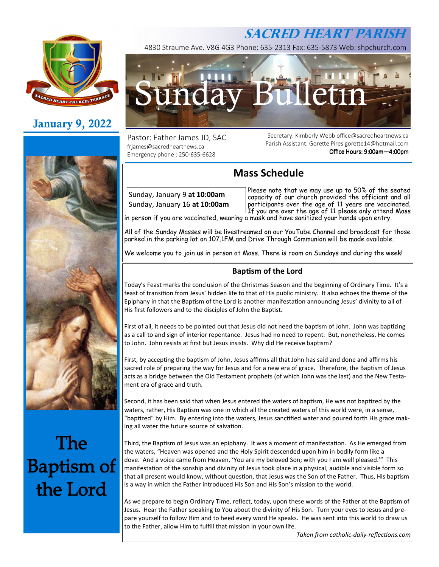

# **January 9, 2022**



# **The Baptism of** the Lord

4830 Straume Ave. V8G 4G3 Phone: 635-2313 Fax: 635-5873 Web: shpchurch.com



Pastor: Father James JD, SAC. frjames@sacredheartnews.ca Emergency phone : 250-635-6628

Secretary: Kimberly Webb office@sacredheartnews.ca Parish Assistant: Gorette Pires gorette14@hotmail.com Office Hours: 9:00am-4:00pm

**SACRED HEART PARISH**

## **Mass Schedule**

Sunday, January 9 **at 10:00am**  Sunday, January 16 **at 10:00am** 

Please note that we may use up to 50% of the seated capacity of our church provided the officiant and all participants over the age of 11 years are vaccinated. If you are over the age of 11 please only attend Mass in person if you are vaccinated, wearing a mask and have sanitized your hands upon entry.

All of the Sunday Masses will be livestreamed on our YouTube Channel and broadcast for those parked in the parking lot on 107.1FM and Drive Through Communion will be made available.

We welcome you to join us in person at Mass. There is room on Sundays and during the week!

## **Baptism of the Lord**

Today's Feast marks the conclusion of the Christmas Season and the beginning of Ordinary Time. It's a feast of transition from Jesus' hidden life to that of His public ministry. It also echoes the theme of the Epiphany in that the Baptism of the Lord is another manifestation announcing Jesus' divinity to all of His first followers and to the disciples of John the Baptist.

First of all, it needs to be pointed out that Jesus did not need the baptism of John. John was baptizing as a call to and sign of interior repentance. Jesus had no need to repent. But, nonetheless, He comes to John. John resists at first but Jesus insists. Why did He receive baptism?

First, by accepting the baptism of John, Jesus affirms all that John has said and done and affirms his sacred role of preparing the way for Jesus and for a new era of grace. Therefore, the Baptism of Jesus acts as a bridge between the Old Testament prophets (of which John was the last) and the New Testament era of grace and truth.

Second, it has been said that when Jesus entered the waters of baptism, He was not baptized by the waters, rather, His Baptism was one in which all the created waters of this world were, in a sense, "baptized" by Him. By entering into the waters, Jesus sanctified water and poured forth His grace making all water the future source of salvation.

Third, the Baptism of Jesus was an epiphany. It was a moment of manifestation. As He emerged from the waters, "Heaven was opened and the Holy Spirit descended upon him in bodily form like a dove. And a voice came from Heaven, 'You are my beloved Son; with you I am well pleased.'" This manifestation of the sonship and divinity of Jesus took place in a physical, audible and visible form so that all present would know, without question, that Jesus was the Son of the Father. Thus, His baptism is a way in which the Father introduced His Son and His Son's mission to the world.

As we prepare to begin Ordinary Time, reflect, today, upon these words of the Father at the Baptism of Jesus. Hear the Father speaking to You about the divinity of His Son. Turn your eyes to Jesus and prepare yourself to follow Him and to heed every word He speaks. He was sent into this world to draw us to the Father, allow Him to fulfill that mission in your own life.

**Taken from catholic-daily-reflections.com**